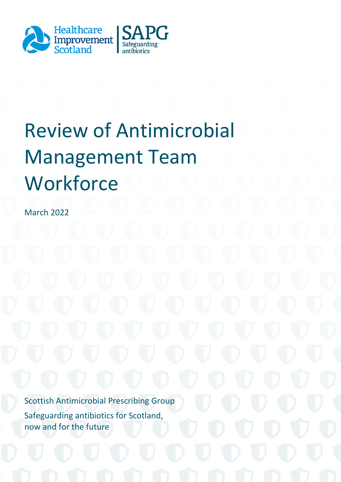

# Review of Antimicrobial Management Team **Workforce**

March 2022

Scottish Antimicrobial Prescribing Group Safeguarding antibiotics for Scotland, now and for the future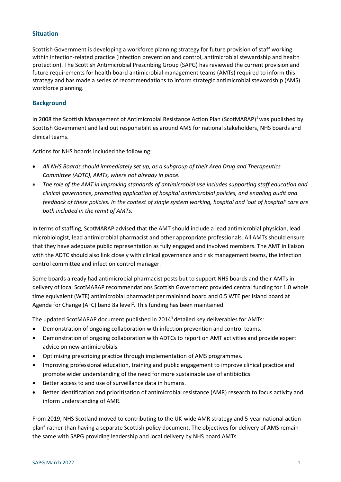# **Situation**

Scottish Government is developing a workforce planning strategy for future provision of staff working within infection-related practice (infection prevention and control, antimicrobial stewardship and health protection). The Scottish Antimicrobial Prescribing Group (SAPG) has reviewed the current provision and future requirements for health board antimicrobial management teams (AMTs) required to inform this strategy and has made a series of recommendations to inform strategic antimicrobial stewardship (AMS) workforce planning.

# **Background**

In 2008 the Scottish Management of Antimicrobial Resistance Action Plan (ScotMARAP)<sup>1</sup> was published by Scottish Government and laid out responsibilities around AMS for national stakeholders, NHS boards and clinical teams.

Actions for NHS boards included the following:

- *All NHS Boards should immediately set up, as a subgroup of their Area Drug and Therapeutics Committee (ADTC), AMTs, where not already in place.*
- *The role of the AMT in improving standards of antimicrobial use includes supporting staff education and clinical governance, promoting application of hospital antimicrobial policies, and enabling audit and feedback of these policies. In the context of single system working, hospital and 'out of hospital' care are both included in the remit of AMTs.*

In terms of staffing, ScotMARAP advised that the AMT should include a lead antimicrobial physician, lead microbiologist, lead antimicrobial pharmacist and other appropriate professionals. All AMTs should ensure that they have adequate public representation as fully engaged and involved members. The AMT in liaison with the ADTC should also link closely with clinical governance and risk management teams, the infection control committee and infection control manager.

Some boards already had antimicrobial pharmacist posts but to support NHS boards and their AMTs in delivery of local ScotMARAP recommendations Scottish Government provided central funding for 1.0 whole time equivalent (WTE) antimicrobial pharmacist per mainland board and 0.5 WTE per island board at Agenda for Change (AFC) band 8a level<sup>2</sup>. This funding has been maintained.

The updated ScotMARAP document published in  $2014<sup>3</sup>$  detailed key deliverables for AMTs:

- Demonstration of ongoing collaboration with infection prevention and control teams.
- Demonstration of ongoing collaboration with ADTCs to report on AMT activities and provide expert advice on new antimicrobials.
- Optimising prescribing practice through implementation of AMS programmes.
- Improving professional education, training and public engagement to improve clinical practice and promote wider understanding of the need for more sustainable use of antibiotics.
- Better access to and use of surveillance data in humans.
- Better identification and prioritisation of antimicrobial resistance (AMR) research to focus activity and inform understanding of AMR.

From 2019, NHS Scotland moved to contributing to the UK-wide AMR strategy and 5-year national action plan<sup>4</sup> rather than having a separate Scottish policy document. The objectives for delivery of AMS remain the same with SAPG providing leadership and local delivery by NHS board AMTs.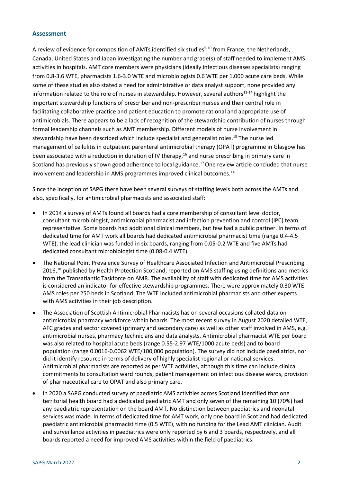#### **Assessment**

A review of evidence for composition of AMTs identified six studies<sup>5-10</sup> from France, the Netherlands, Canada, United States and Japan investigating the number and grade(s) of staff needed to implement AMS activities in hospitals. AMT core members were physicians (ideally infectious diseases specialists) ranging from 0.8-3.6 WTE, pharmacists 1.6-3.0 WTE and microbiologists 0.6 WTE per 1,000 acute care beds. While some of these studies also stated a need for administrative or data analyst support, none provided any information related to the role of nurses in stewardship. However, several authors<sup>11-14</sup> highlight the important stewardship functions of prescriber and non-prescriber nurses and their central role in facilitating collaborative practice and patient education to promote rational and appropriate use of antimicrobials. There appears to be a lack of recognition of the stewardship contribution of nurses through formal leadership channels such as AMT membership. Different models of nurse involvement in stewardship have been described which include specialist and generalist roles.<sup>15</sup> The nurse led management of cellulitis in outpatient parenteral antimicrobial therapy (OPAT) programme in Glasgow has been associated with a reduction in duration of IV therapy,<sup>16</sup> and nurse prescribing in primary care in Scotland has previously shown good adherence to local guidance.<sup>17</sup> One review article concluded that nurse involvement and leadership in AMS programmes improved clinical outcomes.<sup>14</sup>

Since the inception of SAPG there have been several surveys of staffing levels both across the AMTs and also, specifically, for antimicrobial pharmacists and associated staff:

- In 2014 a survey of AMTs found all boards had a core membership of consultant level doctor, consultant microbiologist, antimicrobial pharmacist and infection prevention and control (IPC) team representative. Some boards had additional clinical members, but few had a public partner. In terms of dedicated time for AMT work all boards had dedicated antimicrobial pharmacist time (range 0.4-4.5 WTE), the lead clinician was funded in six boards, ranging from 0.05-0.2 WTE and five AMTs had dedicated consultant microbiologist time (0.08-0.4 WTE).
- The National Point Prevalence Survey of Healthcare Associated Infection and Antimicrobial Prescribing 2016,<sup>18</sup> published by Health Protection Scotland, reported on AMS staffing using definitions and metrics from the Transatlantic Taskforce on AMR. The availability of staff with dedicated time for AMS activities is considered an indicator for effective stewardship programmes. There were approximately 0.30 WTE AMS roles per 250 beds in Scotland. The WTE included antimicrobial pharmacists and other experts with AMS activities in their job description.
- The Association of Scottish Antimicrobial Pharmacists has on several occasions collated data on antimicrobial pharmacy workforce within boards. The most recent survey in August 2020 detailed WTE, AFC grades and sector covered (primary and secondary care) as well as other staff involved in AMS, e.g. antimicrobial nurses, pharmacy technicians and data analysts. Antimicrobial pharmacist WTE per board was also related to hospital acute beds (range 0.55-2.97 WTE/1000 acute beds) and to board population (range 0.0016-0.0062 WTE/100,000 population). The survey did not include paediatrics, nor did it identify resource in terms of delivery of highly specialist regional or national services. Antimicrobial pharmacists are reported as per WTE activities, although this time can include clinical commitments to consultation ward rounds, patient management on infectious disease wards, provision of pharmaceutical care to OPAT and also primary care.
- In 2020 a SAPG conducted survey of paediatric AMS activities across Scotland identified that one territorial health board had a dedicated paediatric AMT and only seven of the remaining 10 (70%) had any paediatric representation on the board AMT. No distinction between paediatrics and neonatal services was made. In terms of dedicated time for AMT work, only one board in Scotland had dedicated paediatric antimicrobial pharmacist time (0.5 WTE), with no funding for the Lead AMT clinician. Audit and surveillance activities in paediatrics were only reported by 6 and 3 boards, respectively, and all boards reported a need for improved AMS activities within the field of paediatrics.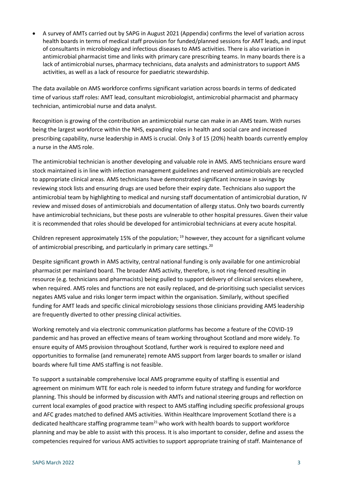A survey of AMTs carried out by SAPG in August 2021 (Appendix) confirms the level of variation across health boards in terms of medical staff provision for funded/planned sessions for AMT leads, and input of consultants in microbiology and infectious diseases to AMS activities. There is also variation in antimicrobial pharmacist time and links with primary care prescribing teams. In many boards there is a lack of antimicrobial nurses, pharmacy technicians, data analysts and administrators to support AMS activities, as well as a lack of resource for paediatric stewardship.

The data available on AMS workforce confirms significant variation across boards in terms of dedicated time of various staff roles: AMT lead, consultant microbiologist, antimicrobial pharmacist and pharmacy technician, antimicrobial nurse and data analyst.

Recognition is growing of the contribution an antimicrobial nurse can make in an AMS team. With nurses being the largest workforce within the NHS, expanding roles in health and social care and increased prescribing capability, nurse leadership in AMS is crucial. Only 3 of 15 (20%) health boards currently employ a nurse in the AMS role.

The antimicrobial technician is another developing and valuable role in AMS. AMS technicians ensure ward stock maintained is in line with infection management guidelines and reserved antimicrobials are recycled to appropriate clinical areas. AMS technicians have demonstrated significant increase in savings by reviewing stock lists and ensuring drugs are used before their expiry date. Technicians also support the antimicrobial team by highlighting to medical and nursing staff documentation of antimicrobial duration, IV review and missed doses of antimicrobials and documentation of allergy status. Only two boards currently have antimicrobial technicians, but these posts are vulnerable to other hospital pressures. Given their value it is recommended that roles should be developed for antimicrobial technicians at every acute hospital.

Children represent approximately 15% of the population;  $19$  however, they account for a significant volume of antimicrobial prescribing, and particularly in primary care settings. $^{20}$ 

Despite significant growth in AMS activity, central national funding is only available for one antimicrobial pharmacist per mainland board. The broader AMS activity, therefore, is not ring-fenced resulting in resource (e.g. technicians and pharmacists) being pulled to support delivery of clinical services elsewhere, when required. AMS roles and functions are not easily replaced, and de-prioritising such specialist services negates AMS value and risks longer term impact within the organisation. Similarly, without specified funding for AMT leads and specific clinical microbiology sessions those clinicians providing AMS leadership are frequently diverted to other pressing clinical activities.

Working remotely and via electronic communication platforms has become a feature of the COVID-19 pandemic and has proved an effective means of team working throughout Scotland and more widely. To ensure equity of AMS provision throughout Scotland, further work is required to explore need and opportunities to formalise (and remunerate) remote AMS support from larger boards to smaller or island boards where full time AMS staffing is not feasible.

To support a sustainable comprehensive local AMS programme equity of staffing is essential and agreement on minimum WTE for each role is needed to inform future strategy and funding for workforce planning. This should be informed by discussion with AMTs and national steering groups and reflection on current local examples of good practice with respect to AMS staffing including specific professional groups and AFC grades matched to defined AMS activities. Within Healthcare Improvement Scotland there is a dedicated healthcare staffing programme team<sup>21</sup> who work with health boards to support workforce planning and may be able to assist with this process. It is also important to consider, define and assess the competencies required for various AMS activities to support appropriate training of staff. Maintenance of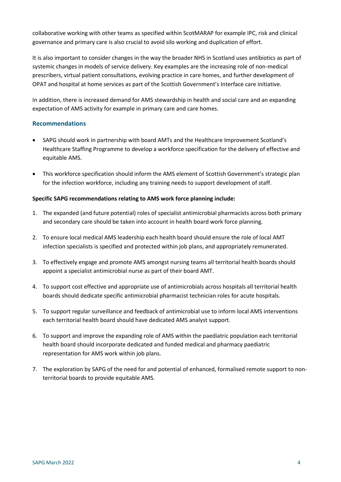collaborative working with other teams as specified within ScotMARAP for example IPC, risk and clinical governance and primary care is also crucial to avoid silo working and duplication of effort.

It is also important to consider changes in the way the broader NHS in Scotland uses antibiotics as part of systemic changes in models of service delivery. Key examples are the increasing role of non-medical prescribers, virtual patient consultations, evolving practice in care homes, and further development of OPAT and hospital at home services as part of the Scottish Government's Interface care initiative.

In addition, there is increased demand for AMS stewardship in health and social care and an expanding expectation of AMS activity for example in primary care and care homes.

# **Recommendations**

- SAPG should work in partnership with board AMTs and the Healthcare Improvement Scotland's Healthcare Staffing Programme to develop a workforce specification for the delivery of effective and equitable AMS.
- This workforce specification should inform the AMS element of Scottish Government's strategic plan for the infection workforce, including any training needs to support development of staff.

# **Specific SAPG recommendations relating to AMS work force planning include:**

- 1. The expanded (and future potential) roles of specialist antimicrobial pharmacists across both primary and secondary care should be taken into account in health board work force planning.
- 2. To ensure local medical AMS leadership each health board should ensure the role of local AMT infection specialists is specified and protected within job plans, and appropriately remunerated.
- 3. To effectively engage and promote AMS amongst nursing teams all territorial health boards should appoint a specialist antimicrobial nurse as part of their board AMT.
- 4. To support cost effective and appropriate use of antimicrobials across hospitals all territorial health boards should dedicate specific antimicrobial pharmacist technician roles for acute hospitals.
- 5. To support regular surveillance and feedback of antimicrobial use to inform local AMS interventions each territorial health board should have dedicated AMS analyst support.
- 6. To support and improve the expanding role of AMS within the paediatric population each territorial health board should incorporate dedicated and funded medical and pharmacy paediatric representation for AMS work within job plans.
- 7. The exploration by SAPG of the need for and potential of enhanced, formalised remote support to nonterritorial boards to provide equitable AMS.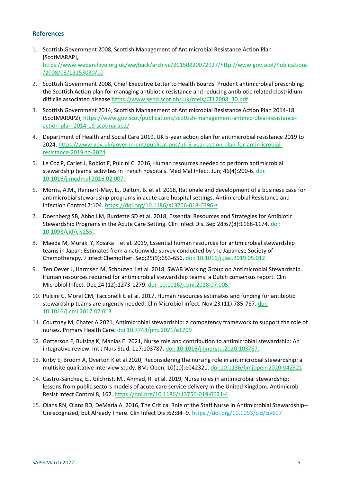# **References**

- 1. Scottish Government 2008, Scottish Management of Antimicrobial Resistance Action Plan [ScotMARAP], [https://www.webarchive.org.uk/wayback/archive/20150220072927/http://www.gov.scot/Publications](https://www.webarchive.org.uk/wayback/archive/20150220072927/http:/www.gov.scot/Publications/2008/03/12153030/10) [/2008/03/12153030/10](https://www.webarchive.org.uk/wayback/archive/20150220072927/http:/www.gov.scot/Publications/2008/03/12153030/10)
- 2. Scottish Government 2008, Chief Executive Letter to Health Boards: Prudent antimicrobial prescribing: the Scottish Action plan for managing antibiotic resistance and reducing antibiotic related clostridium difficile associated disease [https://www.sehd.scot.nhs.uk/mels/CEL2008\\_30.pdf](https://www.sehd.scot.nhs.uk/mels/CEL2008_30.pdf)
- 3. Scottish Government 2014, Scottish Management of Antimicrobial Resistance Action Plan 2014-18 (ScotMARAP2), [https://www.gov.scot/publications/scottish-management-antimicrobial-resistance](https://www.gov.scot/publications/scottish-management-antimicrobial-resistance-action-plan-2014-18-scotmarap2/)[action-plan-2014-18-scotmarap2/](https://www.gov.scot/publications/scottish-management-antimicrobial-resistance-action-plan-2014-18-scotmarap2/)
- 4. Department of Health and Social Care 2019, UK 5-year action plan for antimicrobial resistance 2019 to 2024, [https://www.gov.uk/government/publications/uk-5-year-action-plan-for-antimicrobial](https://www.gov.uk/government/publications/uk-5-year-action-plan-for-antimicrobial-resistance-2019-to-2024)[resistance-2019-to-2024](https://www.gov.uk/government/publications/uk-5-year-action-plan-for-antimicrobial-resistance-2019-to-2024)
- 5. Le Coz P, Carlet J, Roblot F, Pulcini C. 2016, Human resources needed to perform antimicrobial stewardship teams' activities in French hospitals. Med Mal Infect. Jun; 46(4):200-6. [doi:](file:///C:/Users/jacquelines/AppData/Local/Microsoft/Windows/INetCache/Content.Outlook/84UXSB6D/Le%20Coz%20P,%20Carlet%20J,%20Roblot%20F,%20Pulcini%20C.%20Human%20resources%20needed%20to%20perform%20antimicrobial%20stewardship%20teams)  [10.1016/j.medmal.2016.02.007.](file:///C:/Users/jacquelines/AppData/Local/Microsoft/Windows/INetCache/Content.Outlook/84UXSB6D/Le%20Coz%20P,%20Carlet%20J,%20Roblot%20F,%20Pulcini%20C.%20Human%20resources%20needed%20to%20perform%20antimicrobial%20stewardship%20teams)
- 6. Morris, A.M., Rennert-May, E., Dalton, B. et al. 2018, Rationale and development of a business case for antimicrobial stewardship programs in acute care hospital settings. Antimicrobial Resistance and Infection Control 7:104.<https://doi.org/10.1186/s13756-018-0396-z>
- 7. Doernberg SB, Abbo LM, Burdette SD et al. 2018, Essential Resources and Strategies for Antibiotic Stewardship Programs in the Acute Care Setting. Clin Infect Dis. Sep 28;67(8):1168-1174[. doi:](doi:%2010.1093/cid/ciy255.)  [10.1093/cid/ciy255.](doi:%2010.1093/cid/ciy255.)
- 8. Maeda M, Muraki Y, Kosaka T et al. 2019, Essential human resources for antimicrobial stewardship teams in Japan: Estimates from a nationwide survey conducted by the Japanese Society of Chemotherapy. J Infect Chemother. Sep;25(9):653-656. [doi: 10.1016/j.jiac.2019.05.012.](doi:%2010.1016/j.jiac.2019.05.012.)
- 9. Ten Oever J, Harmsen M, Schouten J et al. 2018, SWAB Working Group on Antimicrobial Stewardship. Human resources required for antimicrobial stewardship teams: a Dutch consensus report. Clin Microbiol Infect. Dec;24 (12):1273-1279[. doi: 10.1016/j.cmi.2018.07.005.](doi:%2010.1016/j.cmi.2018.07.005.)
- 10. Pulcini C, Morel CM, Tacconelli E et al. 2017, Human resources estimates and funding for antibiotic stewardship teams are urgently needed. Clin Microbiol Infect. Nov;23 (11):785-787. [doi:](doi:%2010.1016/j.cmi.2017.07.013.)  [10.1016/j.cmi.2017.07.013.](doi:%2010.1016/j.cmi.2017.07.013.)
- 11. Courtney M, Chater A 2021, Antimicrobial stewardship: a competency framework to support the role of nurses. Primary Health Care[. doi 10.7748/phc.2021/e1709](file:///C:/Users/jacquelines/AppData/Local/Microsoft/Windows/INetCache/Content.Outlook/84UXSB6D/doi%2010.7748/phc.2021/e1709)
- 12. Gotterson F, Buising K, Manias E. 2021, Nurse role and contribution to antimicrobial stewardship: An integrative review. Int J Nurs Stud. 117:103787. [doi: 10.1016/j.ijnurstu.2020.103787.](doi:%2010.1016/j.ijnurstu.2020.103787.)
- 13. Kirby E, Broom A, Overton K et al 2020, Reconsidering the nursing role in antimicrobial stewardship: a multisite qualitative interview study. BMJ Open, 10(10):e042321. <doi:10.1136/bmjopen-2020-042321>
- 14. Castro-Sánchez, E., Gilchrist, M., Ahmad, R. et al. 2019, Nurse roles in antimicrobial stewardship: lessons from public sectors models of acute care service delivery in the United Kingdom. Antimicrob Resist Infect Control 8, 162.<https://doi.org/10.1186/s13756-019-0621-4>
- 15. Olans RN, Olans RD, DeMaria A. 2016, The Critical Role of the Staff Nurse in Antimicrobial Stewardship-- Unrecognized, but Already There. Clin Infect Dis ;62:84–9.<https://doi.org/10.1093/cid/civ697>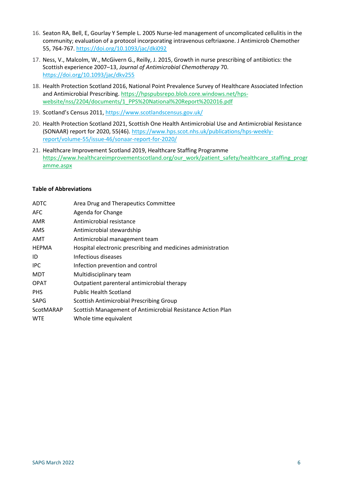- 16. Seaton RA, Bell, E, Gourlay Y Semple L. 2005 Nurse-led management of uncomplicated cellulitis in the community; evaluation of a protocol incorporating intravenous ceftriaxone. J Antimicrob Chemother 55, 764-767.<https://doi.org/10.1093/jac/dki092>
- 17. Ness, V., Malcolm, W., McGivern G., Reilly, J. 2015, Growth in nurse prescribing of antibiotics: the Scottish experience 2007–13, *Journal of Antimicrobial Chemotherapy* 70. <https://doi.org/10.1093/jac/dkv255>
- 18. Health Protection Scotland 2016, National Point Prevalence Survey of Healthcare Associated Infection and Antimicrobial Prescribing. [https://hpspubsrepo.blob.core.windows.net/hps](https://hpspubsrepo.blob.core.windows.net/hps-website/nss/2204/documents/1_PPS%20National%20Report%202016.pdf)[website/nss/2204/documents/1\\_PPS%20National%20Report%202016.pdf](https://hpspubsrepo.blob.core.windows.net/hps-website/nss/2204/documents/1_PPS%20National%20Report%202016.pdf)
- 19. Scotland's Census 2011, <https://www.scotlandscensus.gov.uk/>
- 20. Health Protection Scotland 2021, Scottish One Health Antimicrobial Use and Antimicrobial Resistance (SONAAR) report for 2020, 55(46). [https://www.hps.scot.nhs.uk/publications/hps-weekly](https://www.hps.scot.nhs.uk/publications/hps-weekly-report/volume-55/issue-46/sonaar-report-for-2020/)[report/volume-55/issue-46/sonaar-report-for-2020/](https://www.hps.scot.nhs.uk/publications/hps-weekly-report/volume-55/issue-46/sonaar-report-for-2020/)
- 21. Healthcare Improvement Scotland 2019, Healthcare Staffing Programme [https://www.healthcareimprovementscotland.org/our\\_work/patient\\_safety/healthcare\\_staffing\\_progr](https://www.healthcareimprovementscotland.org/our_work/patient_safety/healthcare_staffing_programme.aspx) [amme.aspx](https://www.healthcareimprovementscotland.org/our_work/patient_safety/healthcare_staffing_programme.aspx)

#### **Table of Abbreviations**

| <b>ADTC</b>  | Area Drug and Therapeutics Committee                         |
|--------------|--------------------------------------------------------------|
| <b>AFC</b>   | Agenda for Change                                            |
| AMR          | Antimicrobial resistance                                     |
| AMS          | Antimicrobial stewardship                                    |
| AMT          | Antimicrobial management team                                |
| <b>HEPMA</b> | Hospital electronic prescribing and medicines administration |
| ID           | Infectious diseases                                          |
| <b>IPC</b>   | Infection prevention and control                             |
| <b>MDT</b>   | Multidisciplinary team                                       |
| <b>OPAT</b>  | Outpatient parenteral antimicrobial therapy                  |
| <b>PHS</b>   | <b>Public Health Scotland</b>                                |
| <b>SAPG</b>  | Scottish Antimicrobial Prescribing Group                     |
| ScotMARAP    | Scottish Management of Antimicrobial Resistance Action Plan  |
| <b>WTE</b>   | Whole time equivalent                                        |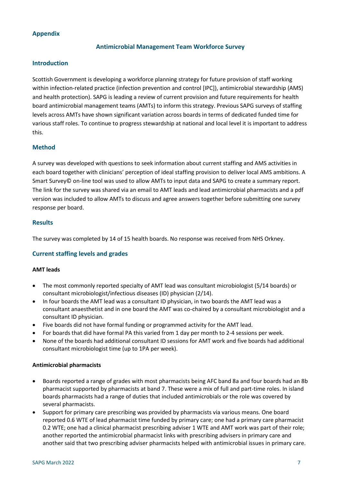# **Appendix**

# **Antimicrobial Management Team Workforce Survey**

#### **Introduction**

Scottish Government is developing a workforce planning strategy for future provision of staff working within infection-related practice (infection prevention and control [IPC]), antimicrobial stewardship (AMS) and health protection). SAPG is leading a review of current provision and future requirements for health board antimicrobial management teams (AMTs) to inform this strategy. Previous SAPG surveys of staffing levels across AMTs have shown significant variation across boards in terms of dedicated funded time for various staff roles. To continue to progress stewardship at national and local level it is important to address this.

# **Method**

A survey was developed with questions to seek information about current staffing and AMS activities in each board together with clinicians' perception of ideal staffing provision to deliver local AMS ambitions. A Smart Survey© on-line tool was used to allow AMTs to input data and SAPG to create a summary report. The link for the survey was shared via an email to AMT leads and lead antimicrobial pharmacists and a pdf version was included to allow AMTs to discuss and agree answers together before submitting one survey response per board.

#### **Results**

The survey was completed by 14 of 15 health boards. No response was received from NHS Orkney.

# **Current staffing levels and grades**

#### **AMT leads**

- The most commonly reported specialty of AMT lead was consultant microbiologist (5/14 boards) or consultant microbiologist/infectious diseases (ID) physician (2/14).
- In four boards the AMT lead was a consultant ID physician, in two boards the AMT lead was a consultant anaesthetist and in one board the AMT was co-chaired by a consultant microbiologist and a consultant ID physician.
- Five boards did not have formal funding or programmed activity for the AMT lead.
- For boards that did have formal PA this varied from 1 day per month to 2-4 sessions per week.
- None of the boards had additional consultant ID sessions for AMT work and five boards had additional consultant microbiologist time (up to 1PA per week).

#### **Antimicrobial pharmacists**

- Boards reported a range of grades with most pharmacists being AFC band 8a and four boards had an 8b pharmacist supported by pharmacists at band 7. These were a mix of full and part-time roles. In island boards pharmacists had a range of duties that included antimicrobials or the role was covered by several pharmacists.
- Support for primary care prescribing was provided by pharmacists via various means. One board reported 0.6 WTE of lead pharmacist time funded by primary care; one had a primary care pharmacist 0.2 WTE; one had a clinical pharmacist prescribing adviser 1 WTE and AMT work was part of their role; another reported the antimicrobial pharmacist links with prescribing advisers in primary care and another said that two prescribing adviser pharmacists helped with antimicrobial issues in primary care.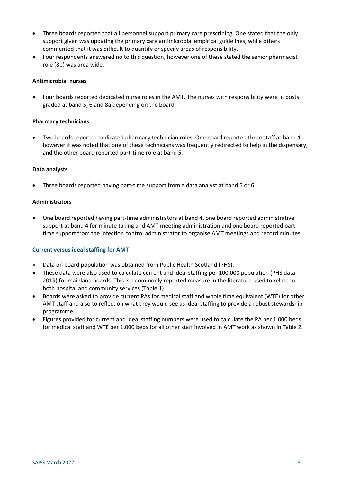- Three boards reported that all personnel support primary care prescribing. One stated that the only support given was updating the primary care antimicrobial empirical guidelines, while others commented that it was difficult to quantify or specify areas of responsibility.
- Four respondents answered no to this question, however one of these stated the senior pharmacist role (8b) was area wide.

#### **Antimicrobial nurses**

 Four boards reported dedicated nurse roles in the AMT. The nurses with responsibility were in posts graded at band 5, 6 and 8a depending on the board.

#### **Pharmacy technicians**

 Two boards reported dedicated pharmacy technician roles. One board reported three staff at band 4, however it was noted that one of these technicians was frequently redirected to help in the dispensary, and the other board reported part-time role at band 5.

#### **Data analysts**

Three boards reported having part-time support from a data analyst at band 5 or 6.

#### **Administrators**

 One board reported having part-time administrators at band 4, one board reported administrative support at band 4 for minute taking and AMT meeting administration and one board reported parttime support from the infection control administrator to organise AMT meetings and record minutes.

#### **Current versus ideal staffing for AMT**

- Data on board population was obtained from Public Health Scotland (PHS).
- These data were also used to calculate current and ideal staffing per 100,000 population (PHS data 2019) for mainland boards. This is a commonly reported measure in the literature used to relate to both hospital and community services (Table 1).
- Boards were asked to provide current PAs for medical staff and whole time equivalent (WTE) for other AMT staff and also to reflect on what they would see as ideal staffing to provide a robust stewardship programme.
- Figures provided for current and ideal staffing numbers were used to calculate the PA per 1,000 beds for medical staff and WTE per 1,000 beds for all other staff involved in AMT work as shown in Table 2.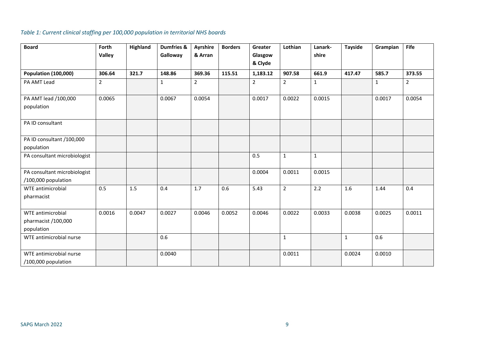# *Table 1: Current clinical staffing per 100,000 population in territorial NHS boards*

| <b>Board</b>                                        | Forth<br><b>Valley</b> | <b>Highland</b> | Dumfries &<br>Galloway | Ayrshire<br>& Arran | <b>Borders</b> | Greater<br>Glasgow | Lothian        | Lanark-<br>shire | <b>Tayside</b> | Grampian     | <b>Fife</b>    |
|-----------------------------------------------------|------------------------|-----------------|------------------------|---------------------|----------------|--------------------|----------------|------------------|----------------|--------------|----------------|
|                                                     |                        |                 |                        |                     |                | & Clyde            |                |                  |                |              |                |
| <b>Population (100,000)</b>                         | 306.64                 | 321.7           | 148.86                 | 369.36              | 115.51         | 1,183.12           | 907.58         | 661.9            | 417.47         | 585.7        | 373.55         |
| PA AMT Lead                                         | $\overline{2}$         |                 | 1                      | $\overline{2}$      |                | $\overline{2}$     | $\overline{2}$ | $\mathbf{1}$     |                | $\mathbf{1}$ | $\overline{2}$ |
| PA AMT lead /100,000                                | 0.0065                 |                 | 0.0067                 | 0.0054              |                | 0.0017             | 0.0022         | 0.0015           |                | 0.0017       | 0.0054         |
| population                                          |                        |                 |                        |                     |                |                    |                |                  |                |              |                |
| PA ID consultant                                    |                        |                 |                        |                     |                |                    |                |                  |                |              |                |
| PA ID consultant /100,000                           |                        |                 |                        |                     |                |                    |                |                  |                |              |                |
| population                                          |                        |                 |                        |                     |                |                    |                |                  |                |              |                |
| PA consultant microbiologist                        |                        |                 |                        |                     |                | 0.5                | $\mathbf{1}$   | $\mathbf{1}$     |                |              |                |
| PA consultant microbiologist<br>/100,000 population |                        |                 |                        |                     |                | 0.0004             | 0.0011         | 0.0015           |                |              |                |
| <b>WTE antimicrobial</b>                            | 0.5                    | 1.5             | 0.4                    | 1.7                 | 0.6            | 5.43               | $\overline{2}$ | 2.2              | 1.6            | 1.44         | 0.4            |
| pharmacist                                          |                        |                 |                        |                     |                |                    |                |                  |                |              |                |
| WTE antimicrobial                                   | 0.0016                 | 0.0047          | 0.0027                 | 0.0046              | 0.0052         | 0.0046             | 0.0022         | 0.0033           | 0.0038         | 0.0025       | 0.0011         |
| pharmacist /100,000                                 |                        |                 |                        |                     |                |                    |                |                  |                |              |                |
| population                                          |                        |                 |                        |                     |                |                    |                |                  |                |              |                |
| WTE antimicrobial nurse                             |                        |                 | 0.6                    |                     |                |                    | $\mathbf{1}$   |                  | $\mathbf{1}$   | 0.6          |                |
| WTE antimicrobial nurse                             |                        |                 | 0.0040                 |                     |                |                    | 0.0011         |                  | 0.0024         | 0.0010       |                |
| /100,000 population                                 |                        |                 |                        |                     |                |                    |                |                  |                |              |                |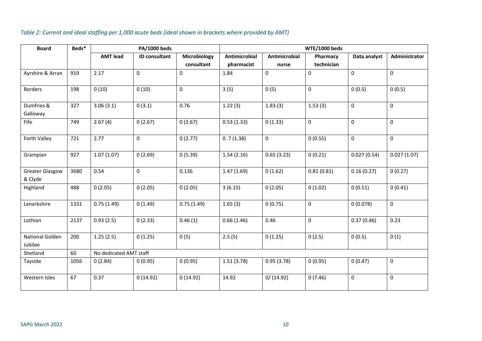# *Table 2: Current and ideal staffing per 1,000 acute beds (ideal shown in brackets where provided by AMT)*

| <b>Board</b>                      | Beds* | PA/1000 beds    |                        |              | <b>WTE/1000 beds</b> |                      |            |              |               |  |  |
|-----------------------------------|-------|-----------------|------------------------|--------------|----------------------|----------------------|------------|--------------|---------------|--|--|
|                                   |       | <b>AMT lead</b> | ID consultant          | Microbiology | Antimicrobial        | <b>Antimicrobial</b> | Pharmacy   | Data analyst | Administrator |  |  |
|                                   |       |                 |                        | consultant   | pharmacist           | nurse                | technician |              |               |  |  |
| Ayrshire & Arran                  | 919   | 2.17            | $\mathbf 0$            | $\mathbf 0$  | 1.84                 | $\mathbf 0$          | 0          | $\mathbf 0$  | $\mathbf 0$   |  |  |
| <b>Borders</b>                    | 198   | 0(10)           | 0(10)                  | $\pmb{0}$    | 3(5)                 | 0(5)                 | 0          | 0(0.5)       | 0(0.5)        |  |  |
| Dumfries &<br>Galloway            | 327   | 3.06(3.1)       | 0(3.1)                 | 0.76         | 1.22(3)              | 1.83(3)              | 1.53(3)    | $\mathbf 0$  | $\mathbf 0$   |  |  |
| Fife                              | 749   | 2.67(4)         | 0(2.67)                | 0(2.67)      | 0.53(1.33)           | 0(1.33)              | 0          | $\mathbf 0$  | $\mathbf 0$   |  |  |
| Forth Valley                      | 721   | 2.77            | 0                      | 0(2.77)      | 0.7(1.38)            | $\mathsf{O}\xspace$  | 0(0.55)    | $\pmb{0}$    | $\mathbf 0$   |  |  |
| Grampian                          | 927   | 1.07(1.07)      | 0(2.69)                | 0(5.39)      | 1.54(2.16)           | 0.65(3.23)           | 0(0.21)    | 0.027(0.54)  | 0.027(1.07)   |  |  |
| <b>Greater Glasgow</b><br>& Clyde | 3680  | 0.54            | $\mathbf 0$            | 0.136        | 1.47(1.69)           | 0(1.62)              | 0.81(0.81) | 0.16(0.27)   | 0(0.27)       |  |  |
| Highland                          | 488   | 0(2.05)         | 0(2.05)                | 0(2.05)      | 3(6.15)              | 0(2.05)              | 0(1.02)    | 0(0.51)      | 0(0.41)       |  |  |
| Lanarkshire                       | 1331  | 0.75(1.49)      | 0(1.49)                | 0.75(1.49)   | 1.65(3)              | 0(0.75)              | 0          | 0(0.078)     | $\mathsf{O}$  |  |  |
| Lothian                           | 2137  | 0.93(2.5)       | 0(2.33)                | 0.46(1)      | 0.66(1.46)           | 0.46                 | 0          | 0.37(0.46)   | 0.23          |  |  |
| National Golden<br>Jubilee        | 200   | 1.25(2.5)       | 0(1.25)                | 0(5)         | 2.5(5)               | 0(1.25)              | 0(2.5)     | 0(0.5)       | 0(1)          |  |  |
| Shetland                          | 60    |                 | No dedicated AMT staff |              |                      |                      |            |              |               |  |  |
| Tayside                           | 1056  | 0(2.84)         | 0(0.95)                | 0(0.95)      | 1.51(3.78)           | 0.95(3.78)           | 0(0.95)    | 0(0.47)      | 0             |  |  |
| Western Isles                     | 67    | 0.37            | 0(14.92)               | 0(14.92)     | 14.92                | 0/(14.92)            | 0(7.46)    | $\pmb{0}$    | 0             |  |  |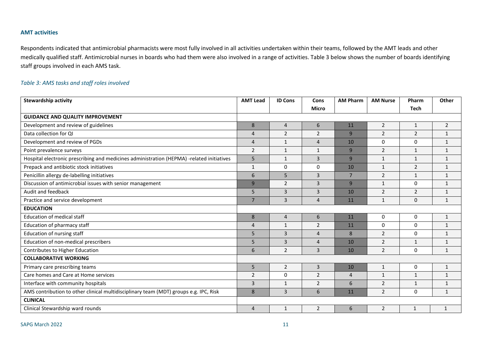# **AMT activities**

Respondents indicated that antimicrobial pharmacists were most fully involved in all activities undertaken within their teams, followed by the AMT leads and other medically qualified staff. Antimicrobial nurses in boards who had them were also involved in a range of activities. Table 3 below shows the number of boards identifying staff groups involved in each AMS task.

# *Table 3: AMS tasks and staff roles involved*

| <b>Stewardship activity</b>                                                               | <b>AMT Lead</b> | <b>ID Cons</b> | Cons             | <b>AM Pharm</b> | <b>AM Nurse</b> | Pharm          | Other          |
|-------------------------------------------------------------------------------------------|-----------------|----------------|------------------|-----------------|-----------------|----------------|----------------|
|                                                                                           |                 |                | <b>Micro</b>     |                 |                 | <b>Tech</b>    |                |
| <b>GUIDANCE AND QUALITY IMPROVEMENT</b>                                                   |                 |                |                  |                 |                 |                |                |
| Development and review of guidelines                                                      | 8               | $\overline{4}$ | $\boldsymbol{6}$ | 11              | $\overline{2}$  | $\mathbf{1}$   | $\overline{2}$ |
| Data collection for QI                                                                    | $\overline{4}$  | $\overline{2}$ | $\overline{2}$   | $\overline{9}$  | $\overline{2}$  | $\overline{2}$ | $\mathbf{1}$   |
| Development and review of PGDs                                                            | $\overline{4}$  | $\mathbf{1}$   | $\overline{4}$   | 10              | $\Omega$        | $\mathbf{0}$   | $\mathbf{1}$   |
| Point prevalence surveys                                                                  | $\overline{2}$  | $\mathbf{1}$   | $\mathbf{1}$     | 9               | $\overline{2}$  | $\mathbf{1}$   | $\mathbf{1}$   |
| Hospital electronic prescribing and medicines administration (HEPMA) -related initiatives | 5               | $\mathbf{1}$   | $\overline{3}$   | $\overline{9}$  | $\mathbf{1}$    | $\mathbf{1}$   | $\mathbf{1}$   |
| Prepack and antibiotic stock initiatives                                                  | $\mathbf{1}$    | 0              | 0                | 10              | 1               | $\overline{2}$ | 1              |
| Penicillin allergy de-labelling initiatives                                               | 6               | 5              | $\overline{3}$   | $\overline{7}$  | $\overline{2}$  | $\mathbf{1}$   | $\mathbf{1}$   |
| Discussion of antimicrobial issues with senior management                                 | 9               | $\overline{2}$ | 3                | $\overline{9}$  | $\mathbf{1}$    | $\mathbf{0}$   | $\mathbf{1}$   |
| Audit and feedback                                                                        | 5               | $\overline{3}$ | $\overline{3}$   | 10              | $\overline{2}$  | $\overline{2}$ | $\mathbf{1}$   |
| Practice and service development                                                          | $\overline{7}$  | 3              | $\overline{4}$   | 11              | $\mathbf{1}$    | 0              | $\mathbf{1}$   |
| <b>EDUCATION</b>                                                                          |                 |                |                  |                 |                 |                |                |
| <b>Education of medical staff</b>                                                         | 8               | $\overline{4}$ | 6                | 11              | $\mathbf 0$     | 0              | $\mathbf{1}$   |
| Education of pharmacy staff                                                               | 4               | $\mathbf{1}$   | $\overline{2}$   | 11              | $\Omega$        | $\mathbf{0}$   | 1              |
| Education of nursing staff                                                                | 5               | 3              | $\overline{4}$   | 8               | 2               | $\Omega$       | $\mathbf{1}$   |
| Education of non-medical prescribers                                                      | 5               | $\overline{3}$ | $\overline{4}$   | 10              | 2               | $\mathbf{1}$   | $\mathbf{1}$   |
| Contributes to Higher Education                                                           | 6               | $\overline{2}$ | 3                | 10              | $\overline{2}$  | 0              | $\mathbf{1}$   |
| <b>COLLABORATIVE WORKING</b>                                                              |                 |                |                  |                 |                 |                |                |
| Primary care prescribing teams                                                            | 5               | 2              | 3                | 10              | $\mathbf{1}$    | $\Omega$       | $\mathbf{1}$   |
| Care homes and Care at Home services                                                      | $\overline{2}$  | $\Omega$       | $\overline{2}$   | $\overline{a}$  | $\mathbf{1}$    | $\mathbf{1}$   | $\mathbf{1}$   |
| Interface with community hospitals                                                        | $\overline{3}$  | $\mathbf{1}$   | $\overline{2}$   | 6               | $\overline{2}$  | 1              | $\mathbf{1}$   |
| AMS contribution to other clinical multidisciplinary team (MDT) groups e.g. IPC, Risk     | 8               | $\overline{3}$ | 6                | 11              | $\overline{2}$  | $\mathbf{0}$   | $\mathbf{1}$   |
| <b>CLINICAL</b>                                                                           |                 |                |                  |                 |                 |                |                |
| Clinical Stewardship ward rounds                                                          | $\overline{4}$  | 1              | $\overline{2}$   | 6               | $\overline{2}$  | $\mathbf{1}$   | $\mathbf{1}$   |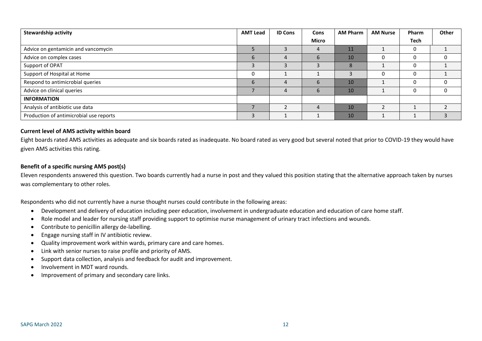| <b>Stewardship activity</b>             | <b>AMT Lead</b> | <b>ID Cons</b> | <b>Cons</b> | <b>AM Pharm</b> | <b>AM Nurse</b> | Pharm | Other |
|-----------------------------------------|-----------------|----------------|-------------|-----------------|-----------------|-------|-------|
|                                         |                 |                | Micro       |                 |                 | Tech  |       |
| Advice on gentamicin and vancomycin     |                 |                | 4           | 11              |                 |       |       |
| Advice on complex cases                 | 6               |                | 6           | 10              | υ               |       |       |
| Support of OPAT                         |                 |                |             | 8               |                 |       |       |
| Support of Hospital at Home             |                 |                |             |                 | υ               |       |       |
| Respond to antimicrobial queries        | 6               |                | 6           | 10              |                 |       |       |
| Advice on clinical queries              |                 |                | 6           | 10              |                 |       |       |
| <b>INFORMATION</b>                      |                 |                |             |                 |                 |       |       |
| Analysis of antibiotic use data         |                 |                | 4           | 10              |                 |       |       |
| Production of antimicrobial use reports |                 |                |             | 10 <sup>1</sup> |                 |       |       |

#### **Current level of AMS activity within board**

Eight boards rated AMS activities as adequate and six boards rated as inadequate. No board rated as very good but several noted that prior to COVID-19 they would have given AMS activities this rating.

#### **Benefit of a specific nursing AMS post(s)**

Eleven respondents answered this question. Two boards currently had a nurse in post and they valued this position stating that the alternative approach taken by nurses was complementary to other roles.

Respondents who did not currently have a nurse thought nurses could contribute in the following areas:

- Development and delivery of education including peer education, involvement in undergraduate education and education of care home staff.
- Role model and leader for nursing staff providing support to optimise nurse management of urinary tract infections and wounds.
- Contribute to penicillin allergy de-labelling.
- Engage nursing staff in IV antibiotic review.
- Quality improvement work within wards, primary care and care homes.
- Link with senior nurses to raise profile and priority of AMS.
- Support data collection, analysis and feedback for audit and improvement.
- Involvement in MDT ward rounds.
- Improvement of primary and secondary care links.